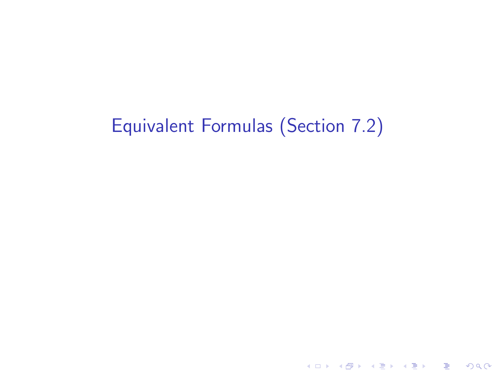# <span id="page-0-0"></span>Equivalent Formulas (Section 7.2)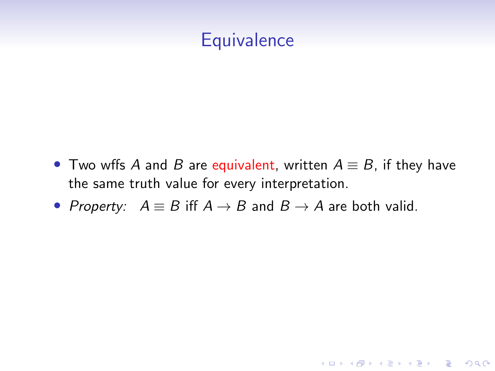### **Equivalence**

• Two wffs A and B are equivalent, written  $A \equiv B$ , if they have the same truth value for every interpretation.

K ロ ▶ K 個 ▶ K 할 ▶ K 할 ▶ 이 할 → 9 Q Q →

• Property:  $A \equiv B$  iff  $A \rightarrow B$  and  $B \rightarrow A$  are both valid.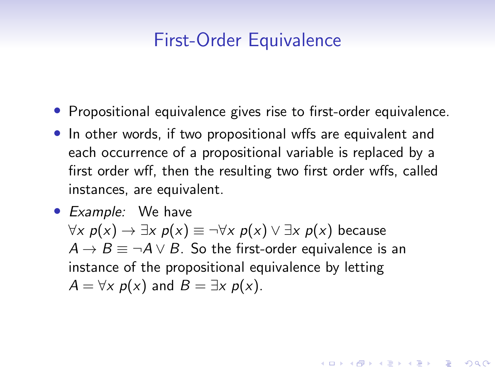### First-Order Equivalence

- Propositional equivalence gives rise to first-order equivalence.
- In other words, if two propositional wffs are equivalent and each occurrence of a propositional variable is replaced by a first order wff, then the resulting two first order wffs, called instances, are equivalent.
- *Example:* We have  $\forall x \ p(x) \rightarrow \exists x \ p(x) \equiv \neg \forall x \ p(x) \lor \exists x \ p(x)$  because  $A \rightarrow B \equiv \neg A \vee B$ . So the first-order equivalence is an instance of the propositional equivalence by letting  $A = \forall x \ p(x)$  and  $B = \exists x \ p(x)$ .

**KORKAR KERKER SAGA**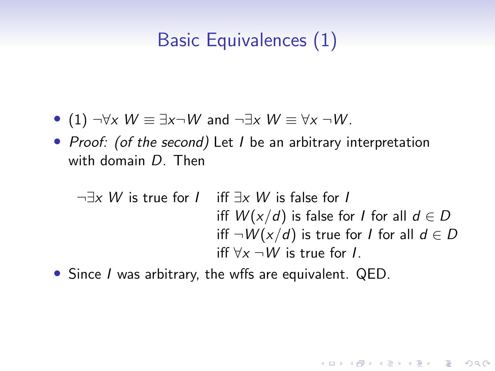# Basic Equivalences (1)

- (1)  $\neg \forall x \ W \equiv \exists x \neg W$  and  $\neg \exists x \ W \equiv \forall x \neg W$ .
- Proof: (of the second) Let I be an arbitrary interpretation with domain D. Then

¬∃x W is true for I iff ∃x W is false for I iff  $W(x/d)$  is false for I for all  $d \in D$ iff  $\neg W(x/d)$  is true for *I* for all  $d \in D$ iff  $\forall x \neg W$  is true for L.

**KORKARYKERKER POLO** 

• Since I was arbitrary, the wffs are equivalent. QED.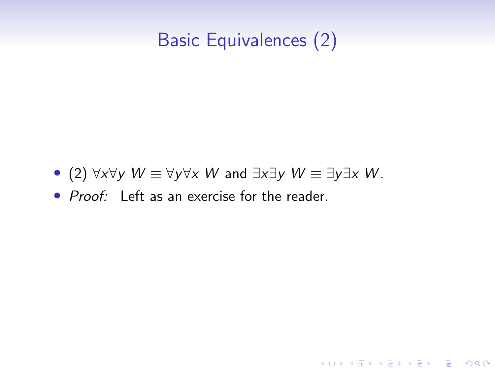# Basic Equivalences (2)

K ロ ▶ K 個 ▶ K 할 ▶ K 할 ▶ 이 할 → 9 Q Q →

- (2)  $\forall x \forall y \ W \equiv \forall y \forall x \ W$  and  $\exists x \exists y \ W \equiv \exists y \exists x \ W$ .
- Proof: Left as an exercise for the reader.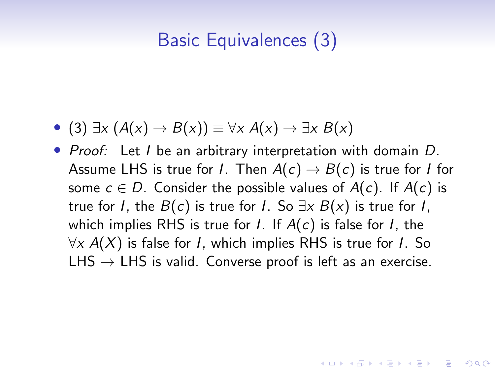# Basic Equivalences (3)

- (3)  $\exists x \ (A(x) \rightarrow B(x)) \equiv \forall x \ A(x) \rightarrow \exists x \ B(x)$
- Proof: Let I be an arbitrary interpretation with domain D. Assume LHS is true for *I*. Then  $A(c) \rightarrow B(c)$  is true for *I* for some  $c \in D$ . Consider the possible values of  $A(c)$ . If  $A(c)$  is true for I, the  $B(c)$  is true for I. So  $\exists x B(x)$  is true for I, which implies RHS is true for *I*. If  $A(c)$  is false for *I*, the  $\forall x A(X)$  is false for *I*, which implies RHS is true for *I*. So  $L$ HS  $\rightarrow$  LHS is valid. Converse proof is left as an exercise.

**KORKAR KERKER SAGA**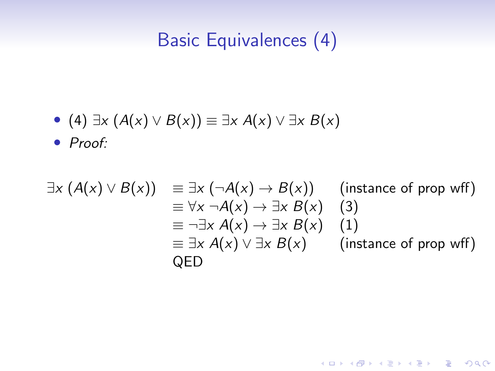# Basic Equivalences (4)

• (4)  $\exists x \ (A(x) \lor B(x)) \equiv \exists x \ A(x) \lor \exists x \ B(x)$ 

• Proof:

$$
\exists x (A(x) \lor B(x)) \equiv \exists x (\neg A(x) \to B(x)) \quad \text{(instance of prop wff)}
$$
\n
$$
\equiv \forall x \neg A(x) \to \exists x B(x) \quad \text{(3)}
$$
\n
$$
\equiv \neg \exists x A(x) \to \exists x B(x) \quad \text{(1)}
$$
\n
$$
\equiv \exists x A(x) \lor \exists x B(x) \quad \text{(instance of prop wff)}
$$
\n
$$
\text{QED}
$$

K ロ ▶ K @ ▶ K 할 ▶ K 할 ▶ | 할 | © 9 Q @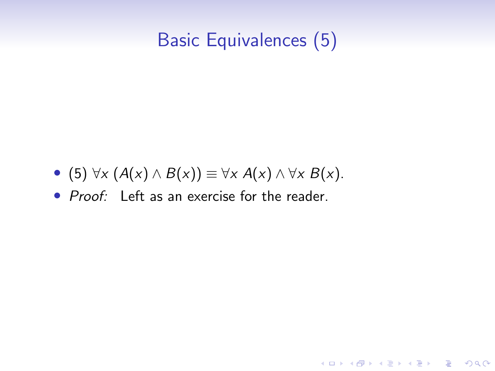# Basic Equivalences (5)

K ロ ▶ K 個 ▶ K 할 ▶ K 할 ▶ 이 할 → 9 Q Q →

- (5)  $\forall x (A(x) \land B(x)) \equiv \forall x A(x) \land \forall x B(x)$ .
- Proof: Left as an exercise for the reader.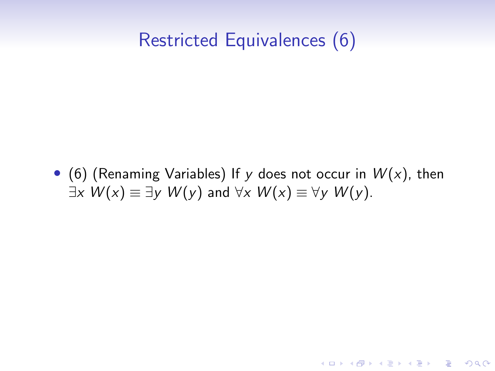# Restricted Equivalences (6)

• (6) (Renaming Variables) If y does not occur in  $W(x)$ , then  $\exists x W(x) \equiv \exists y W(y)$  and  $\forall x W(x) \equiv \forall y W(y)$ .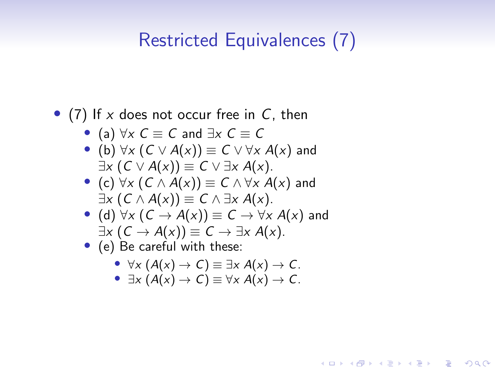## Restricted Equivalences (7)

#### • (7) If x does not occur free in  $C$ , then

- (a)  $\forall x \in C \equiv C$  and  $\exists x \in C \equiv C$
- (b)  $\forall x (C \vee A(x)) \equiv C \vee \forall x A(x)$  and  $\exists x (C \vee A(x)) \equiv C \vee \exists x A(x).$
- (c)  $\forall x (C \wedge A(x)) \equiv C \wedge \forall x A(x)$  and  $\exists x (C \wedge A(x)) \equiv C \wedge \exists x A(x).$
- (d)  $\forall x (C \rightarrow A(x)) \equiv C \rightarrow \forall x A(x)$  and  $\exists x (C \rightarrow A(x)) \equiv C \rightarrow \exists x A(x).$
- (e) Be careful with these:
	- $\forall x (A(x) \rightarrow C) \equiv \exists x A(x) \rightarrow C$ .
	- $\exists x (A(x) \rightarrow C) \equiv \forall x A(x) \rightarrow C$ .

**KORK EXTERNE PROVIDE**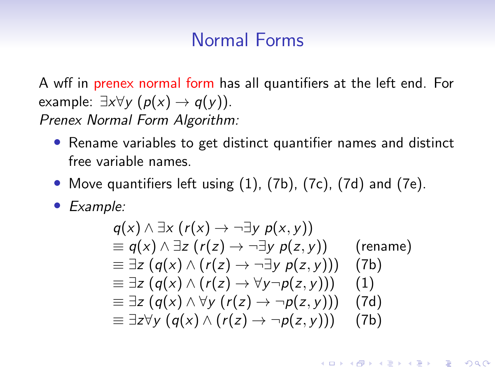### Normal Forms

A wff in prenex normal form has all quantifiers at the left end. For example:  $\exists x \forall y \ (p(x) \rightarrow q(y)).$ Prenex Normal Form Algorithm:

- Rename variables to get distinct quantifier names and distinct free variable names.
- Move quantifiers left using (1), (7b), (7c), (7d) and (7e).
- Example:

$$
q(x) \land \exists x (r(x) \rightarrow \neg \exists y p(x, y))
$$
  
\n
$$
\equiv q(x) \land \exists z (r(z) \rightarrow \neg \exists y p(z, y))
$$
 (rename)  
\n
$$
\equiv \exists z (q(x) \land (r(z) \rightarrow \neg \exists y p(z, y)))
$$
 (7b)  
\n
$$
\equiv \exists z (q(x) \land (r(z) \rightarrow \forall y \neg p(z, y)))
$$
 (1)  
\n
$$
\equiv \exists z (q(x) \land \forall y (r(z) \rightarrow \neg p(z, y)))
$$
 (7d)  
\n
$$
\equiv \exists z \forall y (q(x) \land (r(z) \rightarrow \neg p(z, y)))
$$
 (7b)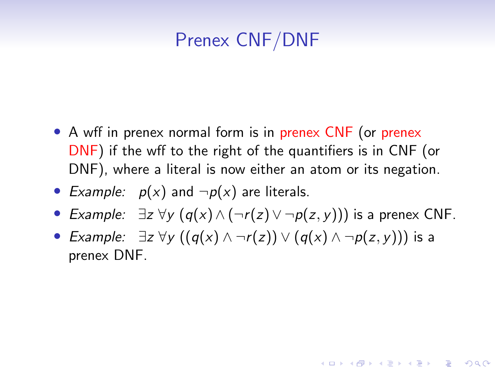# Prenex CNF/DNF

- A wff in prenex normal form is in prenex CNF (or prenex DNF) if the wff to the right of the quantifiers is in CNF (or DNF), where a literal is now either an atom or its negation.
- Example:  $p(x)$  and  $\neg p(x)$  are literals.
- Example:  $\exists z \forall y (q(x) \land (\neg r(z) \lor \neg p(z, y)))$  is a prenex CNF.

**KORKARYKERKER POLO** 

• Example:  $\exists z \forall y ((q(x) \land \neg r(z)) \lor (q(x) \land \neg p(z, y)))$  is a prenex DNF.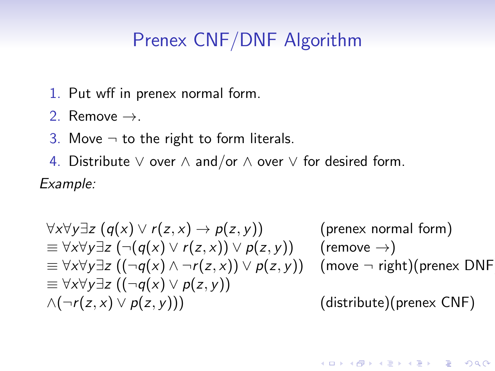## Prenex CNF/DNF Algorithm

- 1. Put wff in prenex normal form.
- 2. Remove  $\rightarrow$ .
- 3. Move  $\neg$  to the right to form literals.
- 4. Distribute ∨ over ∧ and/or ∧ over ∨ for desired form. Example:

$$
\forall x \forall y \exists z (q(x) \lor r(z, x) \rightarrow p(z, y)) \qquad \text{(prenex normal form)}
$$
\n
$$
\equiv \forall x \forall y \exists z (\neg (q(x) \lor r(z, x)) \lor p(z, y)) \qquad \text{(remove } \rightarrow \text{)}
$$
\n
$$
\equiv \forall x \forall y \exists z ((\neg q(x) \land \neg r(z, x)) \lor p(z, y)) \qquad \text{(move } \neg \text{ right)} \text{(prenex DNF)}
$$
\n
$$
\equiv \forall x \forall y \exists z ((\neg q(x) \lor p(z, y)) \qquad \text{(distribute)} \text{(prenex CNF)}
$$

K ロ ▶ K 個 ▶ K 할 ▶ K 할 ▶ 이 할 → 9 Q Q →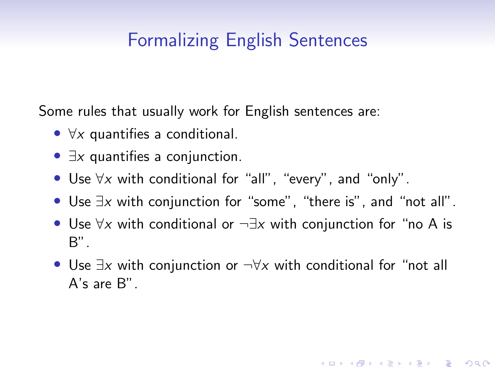# <span id="page-13-0"></span>Formalizing English Sentences

Some rules that usually work for English sentences are:

- $\forall x$  quantifies a conditional.
- $\exists x$  quantifies a conjunction.
- Use ∀x with conditional for "all", "every", and "only".
- Use ∃x with conjunction for "some", "there is", and "not all".
- Use  $\forall x$  with conditional or  $\neg \exists x$  with conjunction for "no A is B".
- Use  $\exists x$  with conjunction or  $\neg \forall x$  with conditional for "not all A's are B".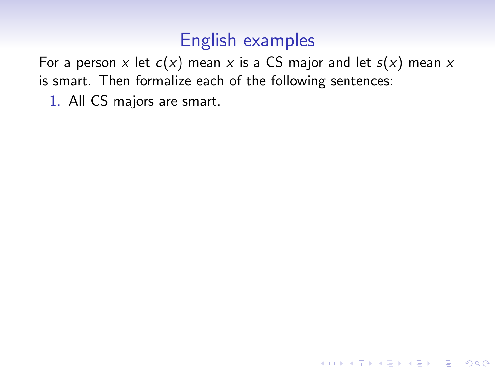<span id="page-14-0"></span>For a person x let  $c(x)$  mean x is a CS major and let  $s(x)$  mean x is smart. Then formalize each of the following sentences:

K ロ ▶ K 個 ▶ K 할 ▶ K 할 ▶ 이 할 → 9 Q Q →

1. All CS majors are smart.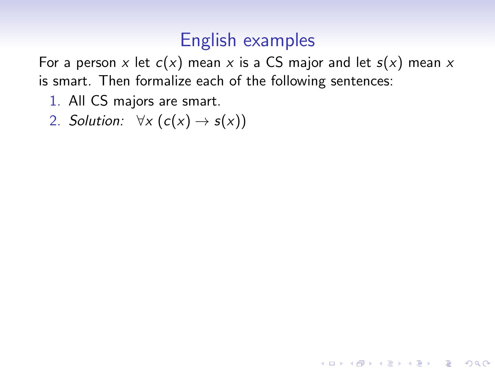For a person x let  $c(x)$  mean x is a CS major and let  $s(x)$  mean x is smart. Then formalize each of the following sentences:

K ロ ▶ K 個 ▶ K 할 ▶ K 할 ▶ 이 할 → 9 Q Q →

- 1. All CS majors are smart.
- 2. Solution:  $\forall x (c(x) \rightarrow s(x))$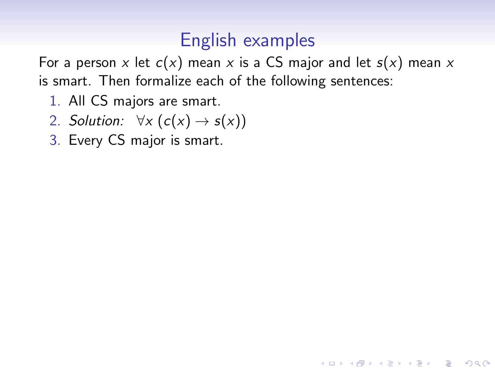For a person x let  $c(x)$  mean x is a CS major and let  $s(x)$  mean x is smart. Then formalize each of the following sentences:

- 1. All CS majors are smart.
- 2. Solution:  $\forall x (c(x) \rightarrow s(x))$
- 3. Every CS major is smart.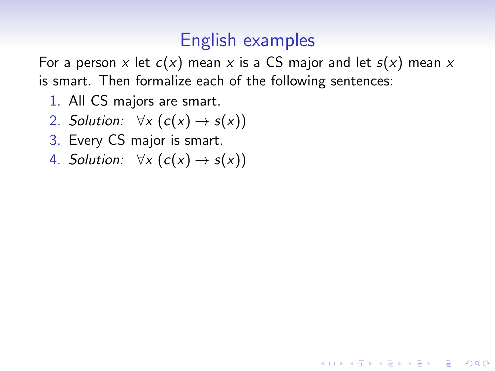For a person x let  $c(x)$  mean x is a CS major and let  $s(x)$  mean x is smart. Then formalize each of the following sentences:

- 1. All CS majors are smart.
- 2. Solution:  $\forall x (c(x) \rightarrow s(x))$
- 3. Every CS major is smart.
- 4. Solution:  $\forall x (c(x) \rightarrow s(x))$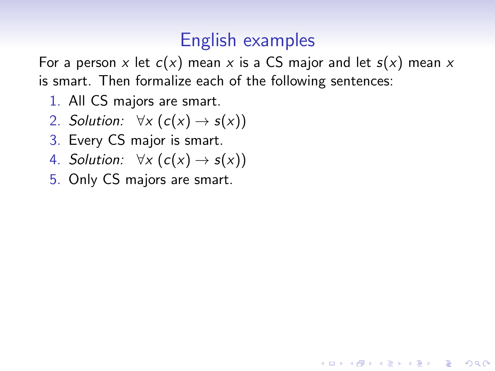For a person x let  $c(x)$  mean x is a CS major and let  $s(x)$  mean x is smart. Then formalize each of the following sentences:

- 1. All CS majors are smart.
- 2. Solution:  $\forall x (c(x) \rightarrow s(x))$
- 3. Every CS major is smart.
- 4. Solution:  $\forall x (c(x) \rightarrow s(x))$
- 5. Only CS majors are smart.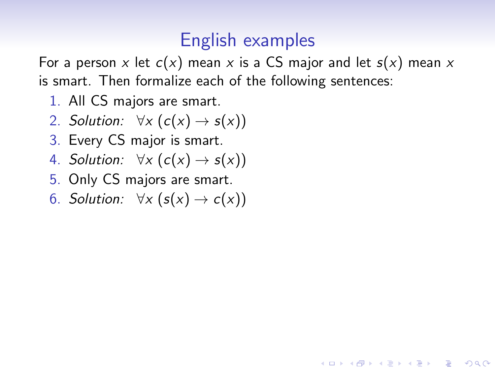For a person x let  $c(x)$  mean x is a CS major and let  $s(x)$  mean x is smart. Then formalize each of the following sentences:

- 1. All CS majors are smart.
- 2. Solution:  $\forall x (c(x) \rightarrow s(x))$
- 3. Every CS major is smart.
- 4. Solution:  $\forall x (c(x) \rightarrow s(x))$
- 5. Only CS majors are smart.
- 6. Solution:  $\forall x (s(x) \rightarrow c(x))$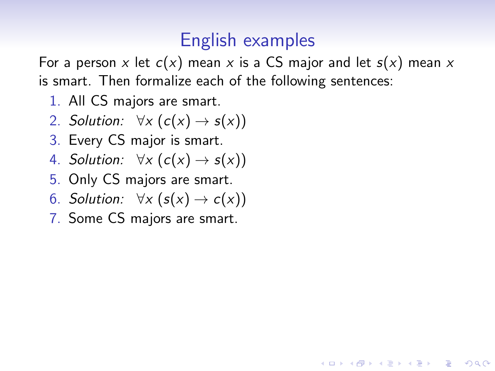For a person x let  $c(x)$  mean x is a CS major and let  $s(x)$  mean x is smart. Then formalize each of the following sentences:

- 1. All CS majors are smart.
- 2. Solution:  $\forall x (c(x) \rightarrow s(x))$
- 3. Every CS major is smart.
- 4. Solution:  $\forall x (c(x) \rightarrow s(x))$
- 5. Only CS majors are smart.
- 6. Solution:  $\forall x (s(x) \rightarrow c(x))$
- 7. Some CS majors are smart.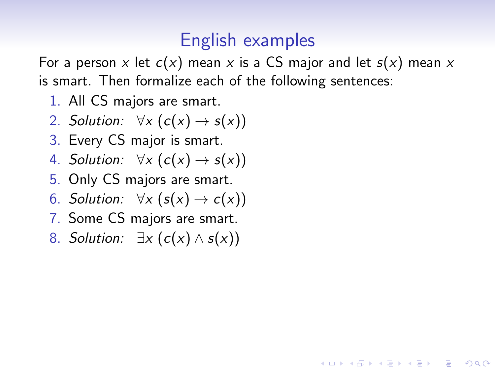For a person x let  $c(x)$  mean x is a CS major and let  $s(x)$  mean x is smart. Then formalize each of the following sentences:

- 1. All CS majors are smart.
- 2. Solution:  $\forall x (c(x) \rightarrow s(x))$
- 3. Every CS major is smart.
- 4. Solution:  $\forall x (c(x) \rightarrow s(x))$
- 5. Only CS majors are smart.
- 6. Solution:  $\forall x (s(x) \rightarrow c(x))$
- 7. Some CS majors are smart.
- 8. Solution:  $\exists x (c(x) \wedge s(x))$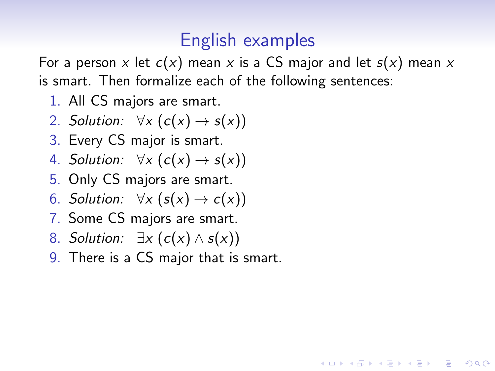For a person x let  $c(x)$  mean x is a CS major and let  $s(x)$  mean x is smart. Then formalize each of the following sentences:

- 1. All CS majors are smart.
- 2. Solution:  $\forall x (c(x) \rightarrow s(x))$
- 3. Every CS major is smart.
- 4. Solution:  $\forall x (c(x) \rightarrow s(x))$
- 5. Only CS majors are smart.
- 6. Solution:  $\forall x (s(x) \rightarrow c(x))$
- 7. Some CS majors are smart.
- 8. Solution:  $\exists x (c(x) \wedge s(x))$
- 9. There is a CS major that is smart.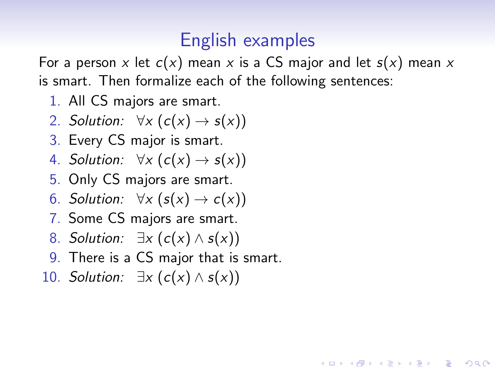For a person x let  $c(x)$  mean x is a CS major and let  $s(x)$  mean x is smart. Then formalize each of the following sentences:

- 1. All CS majors are smart.
- 2. Solution:  $\forall x (c(x) \rightarrow s(x))$
- 3. Every CS major is smart.
- 4. Solution:  $\forall x (c(x) \rightarrow s(x))$
- 5. Only CS majors are smart.
- 6. Solution:  $\forall x (s(x) \rightarrow c(x))$
- 7. Some CS majors are smart.
- 8. Solution:  $\exists x (c(x) \wedge s(x))$
- 9. There is a CS major that is smart.
- 10. Solution:  $\exists x (c(x) \wedge s(x))$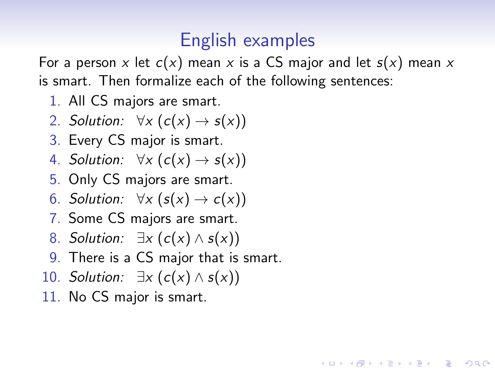For a person x let  $c(x)$  mean x is a CS major and let  $s(x)$  mean x is smart. Then formalize each of the following sentences:

- 1. All CS majors are smart.
- 2. Solution:  $\forall x (c(x) \rightarrow s(x))$
- 3. Every CS major is smart.
- 4. Solution:  $\forall x (c(x) \rightarrow s(x))$
- 5. Only CS majors are smart.
- 6. Solution:  $\forall x (s(x) \rightarrow c(x))$
- 7. Some CS majors are smart.
- 8. Solution:  $\exists x (c(x) \wedge s(x))$
- 9. There is a CS major that is smart.
- 10. Solution:  $\exists x (c(x) \wedge s(x))$
- 11. No CS major is smart.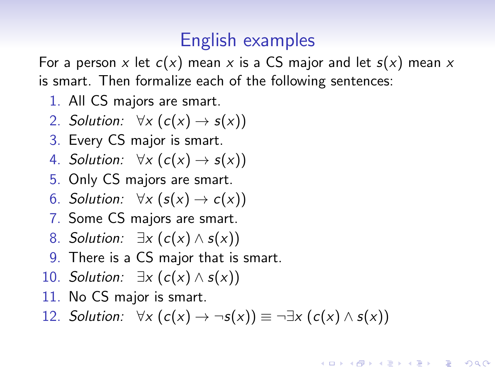<span id="page-25-0"></span>For a person x let  $c(x)$  mean x is a CS major and let  $s(x)$  mean x is smart. Then formalize each of the following sentences:

- 1. All CS majors are smart.
- 2. Solution:  $\forall x (c(x) \rightarrow s(x))$
- 3. Every CS major is smart.
- 4. Solution:  $\forall x (c(x) \rightarrow s(x))$
- 5. Only CS majors are smart.
- 6. Solution:  $\forall x (s(x) \rightarrow c(x))$
- 7. Some CS majors are smart.
- 8. Solution:  $\exists x (c(x) \wedge s(x))$
- 9. There is a CS major that is smart.
- 10. Solution:  $\exists x (c(x) \wedge s(x))$
- 11. No CS major is smart.
- 12. Solution:  $\forall x (c(x) \rightarrow \neg s(x)) \equiv \neg \exists x (c(x) \land s(x))$

**KORKAR KERKER SAGA**